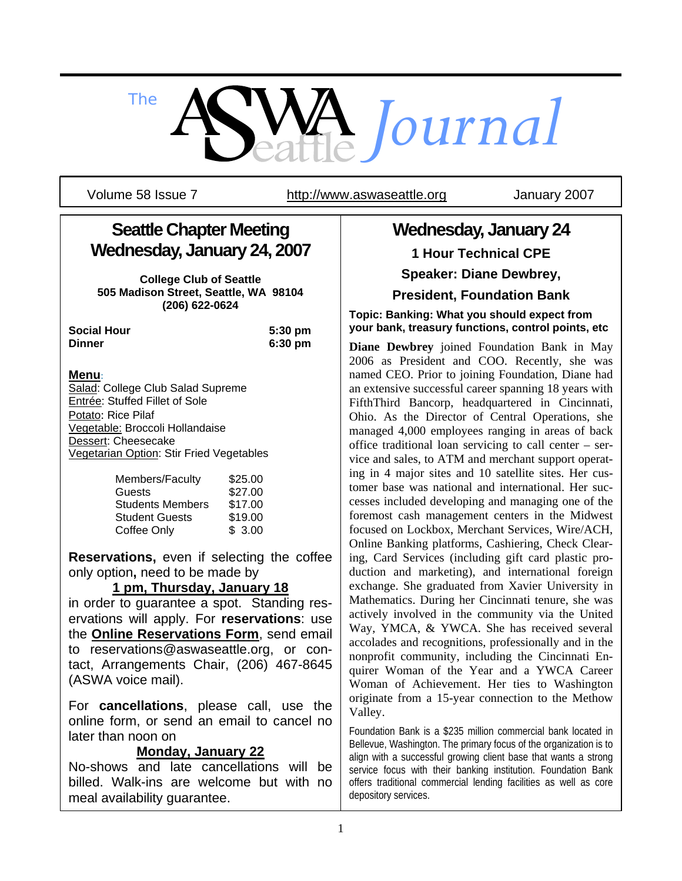

Volume 58 Issue 7 http://www.aswaseattle.org January 2007

# **Seattle Chapter Meeting Wednesday, January 24, 2007**

**College Club of Seattle 505 Madison Street, Seattle, WA 98104 (206) 622-0624** 

| <b>Social Hour</b> | $5:30 \text{ pm}$ |
|--------------------|-------------------|
| <b>Dinner</b>      | 6:30 pm           |

## **Menu**:

Salad: College Club Salad Supreme Entrée: Stuffed Fillet of Sole Potato: Rice Pilaf Vegetable: Broccoli Hollandaise Dessert: Cheesecake Vegetarian Option: Stir Fried Vegetables

| Members/Faculty         | \$25.00 |
|-------------------------|---------|
| Guests                  | \$27.00 |
| <b>Students Members</b> | \$17.00 |
| <b>Student Guests</b>   | \$19.00 |
| Coffee Only             | \$3.00  |

**Reservations,** even if selecting the coffee only option**,** need to be made by

## **1 pm, Thursday, January 18**

in order to guarantee a spot. Standing reservations will apply. For **reservations**: use the **Online Reservations Form**, send email to reservations@aswaseattle.org, or contact, Arrangements Chair, (206) 467-8645 (ASWA voice mail).

For **cancellations**, please call, use the online form, or send an email to cancel no later than noon on

## **Monday, January 22**

No-shows and late cancellations will be billed. Walk-ins are welcome but with no meal availability guarantee.

# **Wednesday, January 24 1 Hour Technical CPE**

**Speaker: Diane Dewbrey,** 

**President, Foundation Bank**

**Topic: Banking: What you should expect from your bank, treasury functions, control points, etc**

**Diane Dewbrey** joined Foundation Bank in May 2006 as President and COO. Recently, she was named CEO. Prior to joining Foundation, Diane had an extensive successful career spanning 18 years with FifthThird Bancorp, headquartered in Cincinnati, Ohio. As the Director of Central Operations, she managed 4,000 employees ranging in areas of back office traditional loan servicing to call center – service and sales, to ATM and merchant support operating in 4 major sites and 10 satellite sites. Her customer base was national and international. Her successes included developing and managing one of the foremost cash management centers in the Midwest focused on Lockbox, Merchant Services, Wire/ACH, Online Banking platforms, Cashiering, Check Clearing, Card Services (including gift card plastic production and marketing), and international foreign exchange. She graduated from Xavier University in Mathematics. During her Cincinnati tenure, she was actively involved in the community via the United Way, YMCA, & YWCA. She has received several accolades and recognitions, professionally and in the nonprofit community, including the Cincinnati Enquirer Woman of the Year and a YWCA Career Woman of Achievement. Her ties to Washington originate from a 15-year connection to the Methow Valley.

Foundation Bank is a \$235 million commercial bank located in Bellevue, Washington. The primary focus of the organization is to align with a successful growing client base that wants a strong service focus with their banking institution. Foundation Bank offers traditional commercial lending facilities as well as core depository services.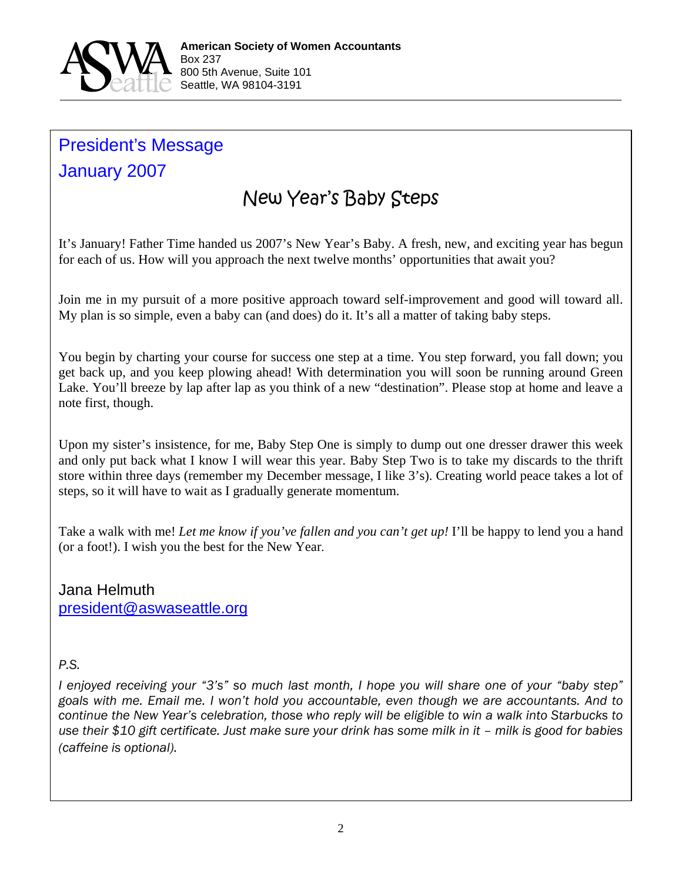

# President's Message January 2007

# New Year's Baby Steps

It's January! Father Time handed us 2007's New Year's Baby. A fresh, new, and exciting year has begun for each of us. How will you approach the next twelve months' opportunities that await you?

Join me in my pursuit of a more positive approach toward self-improvement and good will toward all. My plan is so simple, even a baby can (and does) do it. It's all a matter of taking baby steps.

You begin by charting your course for success one step at a time. You step forward, you fall down; you get back up, and you keep plowing ahead! With determination you will soon be running around Green Lake. You'll breeze by lap after lap as you think of a new "destination". Please stop at home and leave a note first, though.

Upon my sister's insistence, for me, Baby Step One is simply to dump out one dresser drawer this week and only put back what I know I will wear this year. Baby Step Two is to take my discards to the thrift store within three days (remember my December message, I like 3's). Creating world peace takes a lot of steps, so it will have to wait as I gradually generate momentum.

Take a walk with me! *Let me know if you've fallen and you can't get up!* I'll be happy to lend you a hand (or a foot!). I wish you the best for the New Year.

Jana Helmuth president@aswaseattle.org

## *P.S.*

*I enjoyed receiving your "3's" so much last month, I hope you will share one of your "baby step" goals with me. Email me. I won't hold you accountable, even though we are accountants. And to continue the New Year's celebration, those who reply will be eligible to win a walk into Starbucks to use their \$10 gift certificate. Just make sure your drink has some milk in it – milk is good for babies (caffeine is optional).*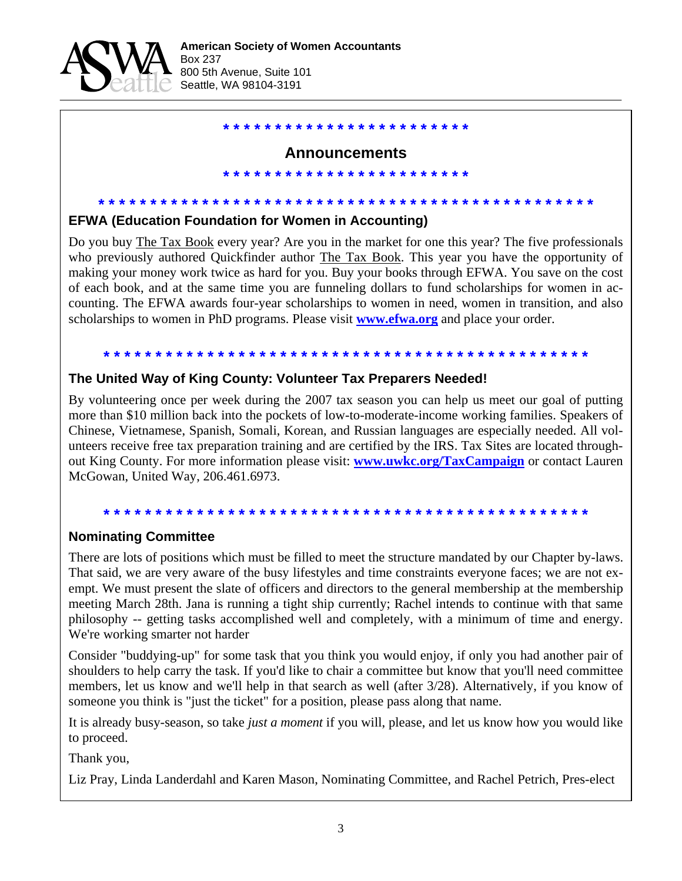

# **\* \* \* \* \* \* \* \* \* \* \* \* \* \* \* \* \* \* \* \* \* \* \* \***

#### **Announcements**

**\* \* \* \* \* \* \* \* \* \* \* \* \* \* \* \* \* \* \* \* \* \* \* \***

#### **\* \* \* \* \* \* \* \* \* \* \* \* \* \* \* \* \* \* \* \* \* \* \* \* \* \* \* \* \* \* \* \* \* \* \* \* \* \* \* \* \* \* \* \* \* \* \* \* EFWA (Education Foundation for Women in Accounting)**

Do you buy The Tax Book every year? Are you in the market for one this year? The five professionals who previously authored Quickfinder author The Tax Book. This year you have the opportunity of making your money work twice as hard for you. Buy your books through EFWA. You save on the cost of each book, and at the same time you are funneling dollars to fund scholarships for women in accounting. The EFWA awards four-year scholarships to women in need, women in transition, and also scholarships to women in PhD programs. Please visit **www.efwa.org** and place your order.

## **\* \* \* \* \* \* \* \* \* \* \* \* \* \* \* \* \* \* \* \* \* \* \* \* \* \* \* \* \* \* \* \* \* \* \* \* \* \* \* \* \* \* \* \* \* \* \***

#### **The United Way of King County: Volunteer Tax Preparers Needed!**

By volunteering once per week during the 2007 tax season you can help us meet our goal of putting more than \$10 million back into the pockets of low-to-moderate-income working families. Speakers of Chinese, Vietnamese, Spanish, Somali, Korean, and Russian languages are especially needed. All volunteers receive free tax preparation training and are certified by the IRS. Tax Sites are located throughout King County. For more information please visit: **www.uwkc.org/TaxCampaign** or contact Lauren McGowan, United Way, 206.461.6973.

# **\* \* \* \* \* \* \* \* \* \* \* \* \* \* \* \* \* \* \* \* \* \* \* \* \* \* \* \* \* \* \* \* \* \* \* \* \* \* \* \* \* \* \* \* \* \* \***

#### **Nominating Committee**

There are lots of positions which must be filled to meet the structure mandated by our Chapter by-laws. That said, we are very aware of the busy lifestyles and time constraints everyone faces; we are not exempt. We must present the slate of officers and directors to the general membership at the membership meeting March 28th. Jana is running a tight ship currently; Rachel intends to continue with that same philosophy -- getting tasks accomplished well and completely, with a minimum of time and energy. We're working smarter not harder

Consider "buddying-up" for some task that you think you would enjoy, if only you had another pair of shoulders to help carry the task. If you'd like to chair a committee but know that you'll need committee members, let us know and we'll help in that search as well (after 3/28). Alternatively, if you know of someone you think is "just the ticket" for a position, please pass along that name.

It is already busy-season, so take *just a moment* if you will, please, and let us know how you would like to proceed.

Thank you,

Liz Pray, Linda Landerdahl and Karen Mason, Nominating Committee, and Rachel Petrich, Pres-elect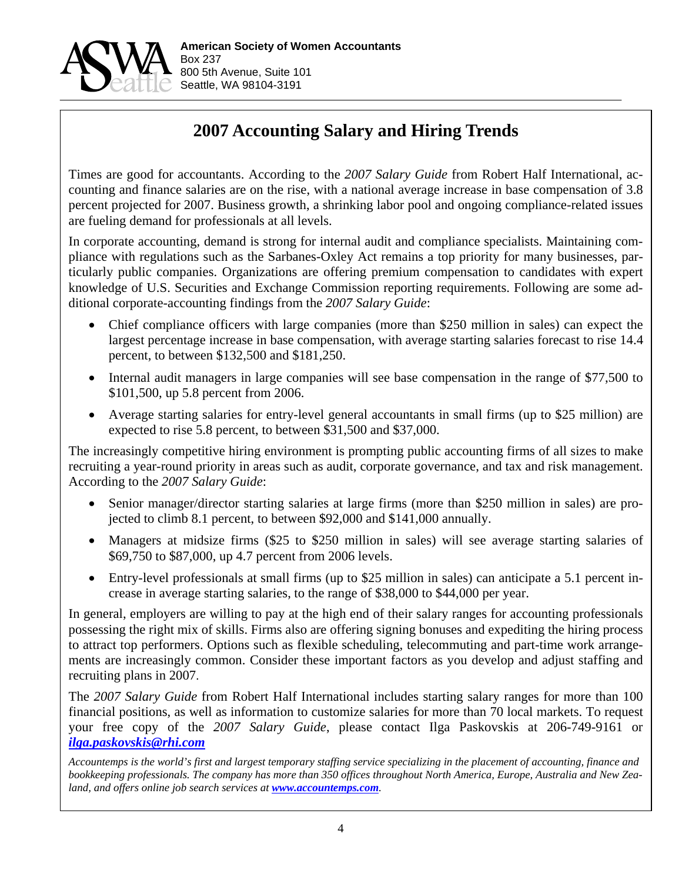

# **2007 Accounting Salary and Hiring Trends**

Times are good for accountants. According to the *2007 Salary Guide* from Robert Half International, accounting and finance salaries are on the rise, with a national average increase in base compensation of 3.8 percent projected for 2007. Business growth, a shrinking labor pool and ongoing compliance-related issues are fueling demand for professionals at all levels.

In corporate accounting, demand is strong for internal audit and compliance specialists. Maintaining compliance with regulations such as the Sarbanes-Oxley Act remains a top priority for many businesses, particularly public companies. Organizations are offering premium compensation to candidates with expert knowledge of U.S. Securities and Exchange Commission reporting requirements. Following are some additional corporate-accounting findings from the *2007 Salary Guide*:

- Chief compliance officers with large companies (more than \$250 million in sales) can expect the largest percentage increase in base compensation, with average starting salaries forecast to rise 14.4 percent, to between \$132,500 and \$181,250.
- Internal audit managers in large companies will see base compensation in the range of \$77,500 to \$101,500, up 5.8 percent from 2006.
- Average starting salaries for entry-level general accountants in small firms (up to \$25 million) are expected to rise 5.8 percent, to between \$31,500 and \$37,000.

The increasingly competitive hiring environment is prompting public accounting firms of all sizes to make recruiting a year-round priority in areas such as audit, corporate governance, and tax and risk management. According to the *2007 Salary Guide*:

- Senior manager/director starting salaries at large firms (more than \$250 million in sales) are projected to climb 8.1 percent, to between \$92,000 and \$141,000 annually.
- Managers at midsize firms (\$25 to \$250 million in sales) will see average starting salaries of \$69,750 to \$87,000, up 4.7 percent from 2006 levels.
- Entry-level professionals at small firms (up to \$25 million in sales) can anticipate a 5.1 percent increase in average starting salaries, to the range of \$38,000 to \$44,000 per year.

In general, employers are willing to pay at the high end of their salary ranges for accounting professionals possessing the right mix of skills. Firms also are offering signing bonuses and expediting the hiring process to attract top performers. Options such as flexible scheduling, telecommuting and part-time work arrangements are increasingly common. Consider these important factors as you develop and adjust staffing and recruiting plans in 2007.

The *2007 Salary Guide* from Robert Half International includes starting salary ranges for more than 100 financial positions, as well as information to customize salaries for more than 70 local markets. To request your free copy of the *2007 Salary Guide*, please contact Ilga Paskovskis at 206-749-9161 or *ilga.paskovskis@rhi.com*

*Accountemps is the world's first and largest temporary staffing service specializing in the placement of accounting, finance and bookkeeping professionals. The company has more than 350 offices throughout North America, Europe, Australia and New Zea*land, and offers online job search services at *www.accountemps.com*.